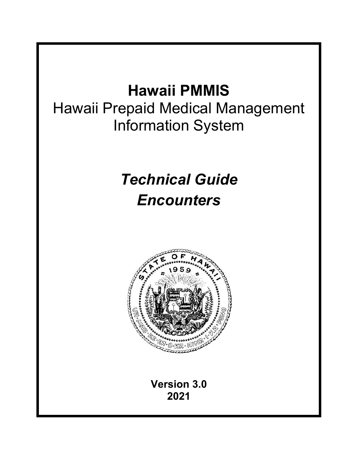## **Hawaii PMMIS**

Hawaii Prepaid Medical Management Information System

# *Technical Guide Encounters*



**Version 3.0 2021**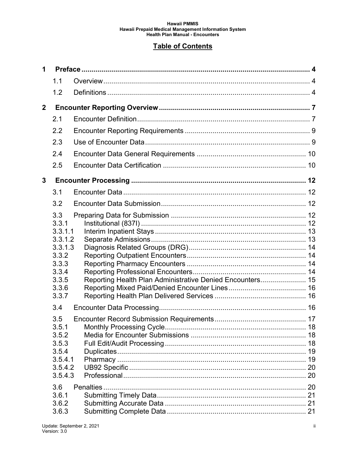#### **Table of Contents**

| $\mathbf 1$    |                    |                                                           |    |
|----------------|--------------------|-----------------------------------------------------------|----|
|                | 1.1                |                                                           |    |
|                | 1.2                |                                                           |    |
| $\overline{2}$ |                    |                                                           |    |
|                | 2.1                |                                                           |    |
|                | 2.2                |                                                           |    |
|                | 2.3                |                                                           |    |
|                | 2.4                |                                                           |    |
|                | 2.5                |                                                           |    |
| 3              |                    |                                                           |    |
|                | 3.1                |                                                           |    |
|                | 3.2                |                                                           |    |
|                | 3.3                |                                                           |    |
|                | 3.3.1              |                                                           |    |
|                | 3.3.1.1<br>3.3.1.2 |                                                           |    |
|                | 3.3.1.3            |                                                           |    |
|                | 3.3.2              |                                                           |    |
|                | 3.3.3              |                                                           |    |
|                | 3.3.4              |                                                           |    |
|                | 3.3.5<br>3.3.6     | Reporting Health Plan Administrative Denied Encounters 15 |    |
|                | 3.3.7              |                                                           |    |
|                | 3.4                |                                                           |    |
|                | 3.5                |                                                           |    |
|                | 3.5.1              |                                                           |    |
|                | 3.5.2              |                                                           |    |
|                | 3.5.3<br>3.5.4     |                                                           |    |
|                | 3.5.4.1            |                                                           | 19 |
|                | 3.5.4.2            |                                                           |    |
|                | 3.5.4.3            |                                                           |    |
|                | 3.6                |                                                           |    |
|                | 3.6.1              |                                                           |    |
|                | 3.6.2              |                                                           |    |
|                | 3.6.3              |                                                           |    |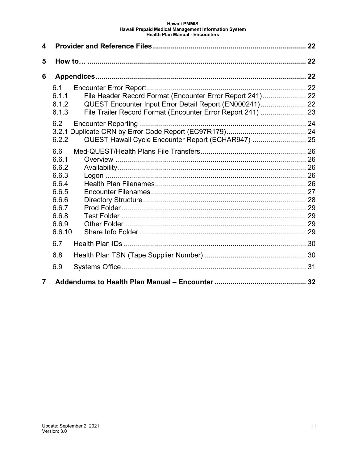| 4              |                                                                                                |                                                                                                                                                                                     |  |
|----------------|------------------------------------------------------------------------------------------------|-------------------------------------------------------------------------------------------------------------------------------------------------------------------------------------|--|
| 5              |                                                                                                |                                                                                                                                                                                     |  |
| 6              |                                                                                                |                                                                                                                                                                                     |  |
|                | 6.1<br>6.1.1<br>6.1.2<br>6.1.3                                                                 | File Header Record Format (Encounter Error Report 241) 22<br>QUEST Encounter Input Error Detail Report (EN000241) 22<br>File Trailer Record Format (Encounter Error Report 241)  23 |  |
|                | 6.2<br>6.2.2                                                                                   | QUEST Hawaii Cycle Encounter Report (ECHAR947)  25                                                                                                                                  |  |
|                | 6.6<br>6.6.1<br>6.6.2<br>6.6.3<br>6.6.4<br>6.6.5<br>6.6.6<br>6.6.7<br>6.6.8<br>6.6.9<br>6.6.10 |                                                                                                                                                                                     |  |
|                | 6.7                                                                                            |                                                                                                                                                                                     |  |
|                | 6.8                                                                                            |                                                                                                                                                                                     |  |
|                | 6.9                                                                                            |                                                                                                                                                                                     |  |
| $\overline{7}$ |                                                                                                |                                                                                                                                                                                     |  |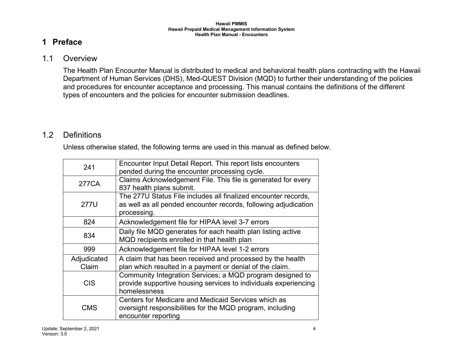## **1 Preface**

#### 1.1 Overview

The Health Plan Encounter Manual is distributed to medical and behavioral health plans contracting with the Hawaii Department of Human Services (DHS), Med-QUEST Division (MQD) to further their understanding of the policies and procedures for encounter acceptance and processing. This manual contains the definitions of the different types of encounters and the policies for encounter submission deadlines.

## <span id="page-3-1"></span><span id="page-3-0"></span>1.2 Definitions

Unless otherwise stated, the following terms are used in this manual as defined below.

<span id="page-3-2"></span>

| 241                  | Encounter Input Detail Report. This report lists encounters<br>pended during the encounter processing cycle.                                     |
|----------------------|--------------------------------------------------------------------------------------------------------------------------------------------------|
| 277CA                | Claims Acknowledgement File. This file is generated for every<br>837 health plans submit.                                                        |
| 277U                 | The 277U Status File includes all finalized encounter records,<br>as well as all pended encounter records, following adjudication<br>processing. |
| 824                  | Acknowledgement file for HIPAA level 3-7 errors                                                                                                  |
| 834                  | Daily file MQD generates for each health plan listing active<br>MQD recipients enrolled in that health plan                                      |
| 999                  | Acknowledgement file for HIPAA level 1-2 errors                                                                                                  |
| Adjudicated<br>Claim | A claim that has been received and processed by the health<br>plan which resulted in a payment or denial of the claim.                           |
| <b>CIS</b>           | Community Integration Services; a MQD program designed to<br>provide supportive housing services to individuals experiencing<br>homelessness     |
| <b>CMS</b>           | Centers for Medicare and Medicaid Services which as<br>oversight responsibilities for the MQD program, including<br>encounter reporting          |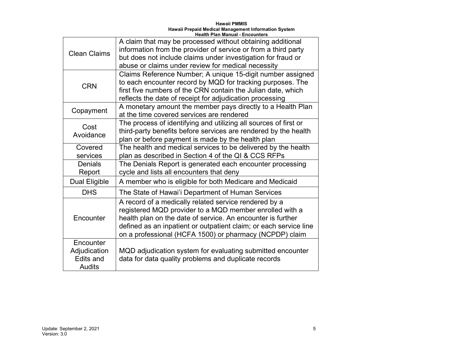| <b>Clean Claims</b>                                            | A claim that may be processed without obtaining additional<br>information from the provider of service or from a third party<br>but does not include claims under investigation for fraud or<br>abuse or claims under review for medical necessity                                                              |
|----------------------------------------------------------------|-----------------------------------------------------------------------------------------------------------------------------------------------------------------------------------------------------------------------------------------------------------------------------------------------------------------|
| <b>CRN</b>                                                     | Claims Reference Number; A unique 15-digit number assigned<br>to each encounter record by MQD for tracking purposes. The<br>first five numbers of the CRN contain the Julian date, which<br>reflects the date of receipt for adjudication processing                                                            |
| Copayment                                                      | A monetary amount the member pays directly to a Health Plan<br>at the time covered services are rendered                                                                                                                                                                                                        |
| Cost<br>Avoidance                                              | The process of identifying and utilizing all sources of first or<br>third-party benefits before services are rendered by the health<br>plan or before payment is made by the health plan                                                                                                                        |
| Covered<br>services                                            | The health and medical services to be delivered by the health<br>plan as described in Section 4 of the QI & CCS RFPs                                                                                                                                                                                            |
| Denials<br>Report                                              | The Denials Report is generated each encounter processing<br>cycle and lists all encounters that deny                                                                                                                                                                                                           |
| <b>Dual Eligible</b>                                           | A member who is eligible for both Medicare and Medicaid                                                                                                                                                                                                                                                         |
| <b>DHS</b>                                                     | The State of Hawai'i Department of Human Services                                                                                                                                                                                                                                                               |
| Encounter                                                      | A record of a medically related service rendered by a<br>registered MQD provider to a MQD member enrolled with a<br>health plan on the date of service. An encounter is further<br>defined as an inpatient or outpatient claim; or each service line<br>on a professional (HCFA 1500) or pharmacy (NCPDP) claim |
| Encounter<br>Adjudication<br><b>Edits and</b><br><b>Audits</b> | MQD adjudication system for evaluating submitted encounter<br>data for data quality problems and duplicate records                                                                                                                                                                                              |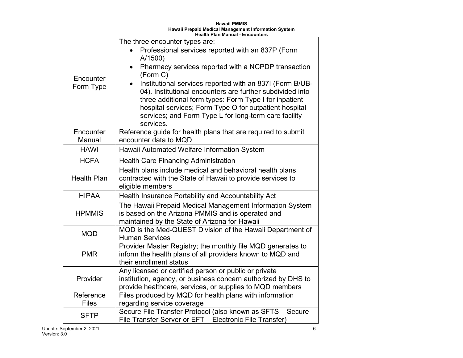| <b>Hawaii PMMIS</b>                                  |
|------------------------------------------------------|
| Hawaii Prepaid Medical Management Information System |
| <b>Health Plan Manual - Encounters</b>               |

|                           | The three encounter types are:                                                                                                                                                                                                                                                                                  |
|---------------------------|-----------------------------------------------------------------------------------------------------------------------------------------------------------------------------------------------------------------------------------------------------------------------------------------------------------------|
|                           | Professional services reported with an 837P (Form<br>A/1500)                                                                                                                                                                                                                                                    |
|                           | Pharmacy services reported with a NCPDP transaction<br>$\bullet$<br>(Form C)                                                                                                                                                                                                                                    |
| Encounter<br>Form Type    | Institutional services reported with an 837I (Form B/UB-<br>04). Institutional encounters are further subdivided into<br>three additional form types: Form Type I for inpatient<br>hospital services; Form Type O for outpatient hospital<br>services; and Form Type L for long-term care facility<br>services. |
| Encounter<br>Manual       | Reference guide for health plans that are required to submit<br>encounter data to MQD                                                                                                                                                                                                                           |
| <b>HAWI</b>               | Hawaii Automated Welfare Information System                                                                                                                                                                                                                                                                     |
| <b>HCFA</b>               | <b>Health Care Financing Administration</b>                                                                                                                                                                                                                                                                     |
| <b>Health Plan</b>        | Health plans include medical and behavioral health plans<br>contracted with the State of Hawaii to provide services to<br>eligible members                                                                                                                                                                      |
| <b>HIPAA</b>              | Health Insurance Portability and Accountability Act                                                                                                                                                                                                                                                             |
| <b>HPMMIS</b>             | The Hawaii Prepaid Medical Management Information System<br>is based on the Arizona PMMIS and is operated and<br>maintained by the State of Arizona for Hawaii                                                                                                                                                  |
| <b>MQD</b>                | MQD is the Med-QUEST Division of the Hawaii Department of<br><b>Human Services</b>                                                                                                                                                                                                                              |
| <b>PMR</b>                | Provider Master Registry; the monthly file MQD generates to<br>inform the health plans of all providers known to MQD and<br>their enrollment status                                                                                                                                                             |
| Provider                  | Any licensed or certified person or public or private<br>institution, agency, or business concern authorized by DHS to<br>provide healthcare, services, or supplies to MQD members                                                                                                                              |
| Reference<br><b>Files</b> | Files produced by MQD for health plans with information                                                                                                                                                                                                                                                         |
|                           | regarding service coverage<br>Secure File Transfer Protocol (also known as SFTS - Secure                                                                                                                                                                                                                        |
| <b>SFTP</b>               | File Transfer Server or EFT - Electronic File Transfer)                                                                                                                                                                                                                                                         |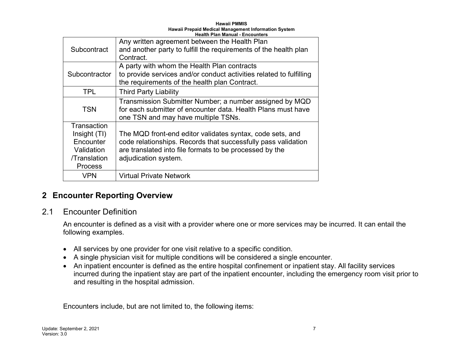| Subcontract                                                                              | Any written agreement between the Health Plan<br>and another party to fulfill the requirements of the health plan<br>Contract.                                                                                |
|------------------------------------------------------------------------------------------|---------------------------------------------------------------------------------------------------------------------------------------------------------------------------------------------------------------|
| Subcontractor                                                                            | A party with whom the Health Plan contracts<br>to provide services and/or conduct activities related to fulfilling<br>the requirements of the health plan Contract.                                           |
| <b>TPL</b>                                                                               | <b>Third Party Liability</b>                                                                                                                                                                                  |
| <b>TSN</b>                                                                               | Transmission Submitter Number; a number assigned by MQD<br>for each submitter of encounter data. Health Plans must have<br>one TSN and may have multiple TSNs.                                                |
| Transaction<br>Insight (TI)<br>Encounter<br>Validation<br>/Translation<br><b>Process</b> | The MQD front-end editor validates syntax, code sets, and<br>code relationships. Records that successfully pass validation<br>are translated into file formats to be processed by the<br>adjudication system. |
| <b>VPN</b>                                                                               | <b>Virtual Private Network</b>                                                                                                                                                                                |

## **2 Encounter Reporting Overview**

#### 2.1 Encounter Definition

An encounter is defined as a visit with a provider where one or more services may be incurred. It can entail the following examples.

- All services by one provider for one visit relative to a specific condition.
- A single physician visit for multiple conditions will be considered a single encounter.
- An inpatient encounter is defined as the entire hospital confinement or inpatient stay. All facility services incurred during the inpatient stay are part of the inpatient encounter, including the emergency room visit prior to and resulting in the hospital admission.

<span id="page-6-1"></span><span id="page-6-0"></span>Encounters include, but are not limited to, the following items: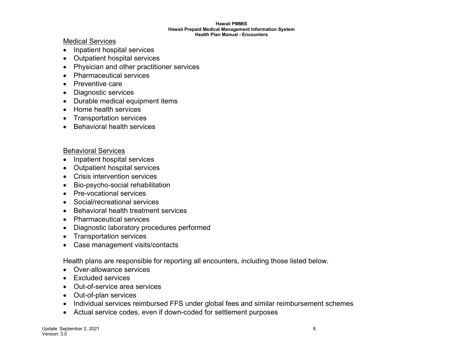Medical Services

- Inpatient hospital services
- Outpatient hospital services
- Physician and other practitioner services
- Pharmaceutical services
- Preventive care
- Diagnostic services
- Durable medical equipment items
- Home health services
- Transportation services
- Behavioral health services

#### Behavioral Services

- Inpatient hospital services
- Outpatient hospital services
- Crisis intervention services
- Bio-psycho-social rehabilitation
- Pre-vocational services
- Social/recreational services
- Behavioral health treatment services
- Pharmaceutical services
- Diagnostic laboratory procedures performed
- Transportation services
- Case management visits/contacts

Health plans are responsible for reporting all encounters, including those listed below.

- Over-allowance services
- Excluded services
- Out-of-service area services
- Out-of-plan services
- Individual services reimbursed FFS under global fees and similar reimbursement schemes
- Actual service codes, even if down-coded for settlement purposes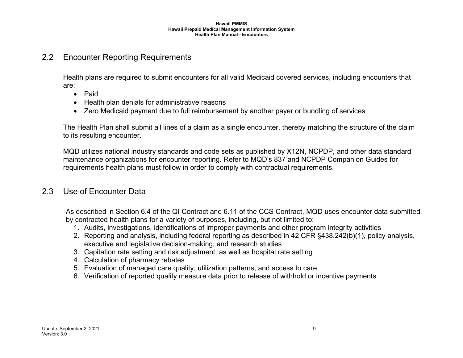### 2.2 Encounter Reporting Requirements

Health plans are required to submit encounters for all valid Medicaid covered services, including encounters that are:

- Paid
- Health plan denials for administrative reasons
- Zero Medicaid payment due to full reimbursement by another payer or bundling of services

The Health Plan shall submit all lines of a claim as a single encounter, thereby matching the structure of the claim to its resulting encounter.

<span id="page-8-0"></span>MQD utilizes national industry standards and code sets as published by X12N, NCPDP, and other data standard maintenance organizations for encounter reporting. Refer to MQD's 837 and NCPDP Companion Guides for requirements health plans must follow in order to comply with contractual requirements.

#### 2.3 Use of Encounter Data

As described in Section 6.4 of the QI Contract and 6.11 of the CCS Contract, MQD uses encounter data submitted by contracted health plans for a variety of purposes, including, but not limited to:

- 1. Audits, investigations, identifications of improper payments and other program integrity activities
- 2. Reporting and analysis, including federal reporting as described in 42 CFR §438.242(b)(1), policy analysis, executive and legislative decision-making, and research studies
- 3. Capitation rate setting and risk adjustment, as well as hospital rate setting
- 4. Calculation of pharmacy rebates
- 5. Evaluation of managed care quality, utilization patterns, and access to care
- <span id="page-8-1"></span>6. Verification of reported quality measure data prior to release of withhold or incentive payments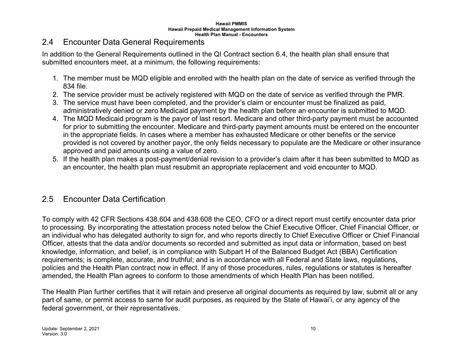#### 2.4 Encounter Data General Requirements

In addition to the General Requirements outlined in the QI Contract section 6.4, the health plan shall ensure that submitted encounters meet, at a minimum, the following requirements:

- 1. The member must be MQD eligible and enrolled with the health plan on the date of service as verified through the 834 file.
- 2. The service provider must be actively registered with MQD on the date of service as verified through the PMR.
- 3. The service must have been completed, and the provider's claim or encounter must be finalized as paid, administratively denied or zero Medicaid payment by the health plan before an encounter is submitted to MQD.
- 4. The MQD Medicaid program is the payor of last resort. Medicare and other third-party payment must be accounted for prior to submitting the encounter. Medicare and third-party payment amounts must be entered on the encounter in the appropriate fields. In cases where a member has exhausted Medicare or other benefits or the service provided is not covered by another payor, the only fields necessary to populate are the Medicare or other insurance approved and paid amounts using a value of zero.
- <span id="page-9-0"></span>5. If the health plan makes a post-payment/denial revision to a provider's claim after it has been submitted to MQD as an encounter, the health plan must resubmit an appropriate replacement and void encounter to MQD.

## 2.5 Encounter Data Certification

To comply with 42 CFR Sections 438.604 and 438.608 the CEO, CFO or a direct report must certify encounter data prior to processing. By incorporating the attestation process noted below the Chief Executive Officer, Chief Financial Officer, or an individual who has delegated authority to sign for, and who reports directly to Chief Executive Officer or Chief Financial Officer, attests that the data and/or documents so recorded and submitted as input data or information, based on best knowledge, information, and belief, is in compliance with Subpart H of the Balanced Budget Act (BBA) Certification requirements; is complete, accurate, and truthful; and is in accordance with all Federal and State laws, regulations, policies and the Health Plan contract now in effect. If any of those procedures, rules, regulations or statutes is hereafter amended, the Health Plan agrees to conform to those amendments of which Health Plan has been notified.

<span id="page-9-1"></span>The Health Plan further certifies that it will retain and preserve all original documents as required by law, submit all or any part of same, or permit access to same for audit purposes, as required by the State of Hawai'i, or any agency of the federal government, or their representatives.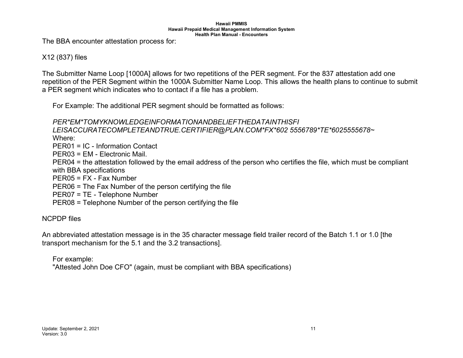The BBA encounter attestation process for:

#### X12 (837) files

The Submitter Name Loop [1000A] allows for two repetitions of the PER segment. For the 837 attestation add one repetition of the PER Segment within the 1000A Submitter Name Loop. This allows the health plans to continue to submit a PER segment which indicates who to contact if a file has a problem.

For Example: The additional PER segment should be formatted as follows:

#### *PER\*EM\*TOMYKNOWLEDGEINFORMATIONANDBELIEFTHEDATAINTHISFI*

*LEISACCURATECOMPLETEANDTRUE.CERTIFIER@PLAN.COM\*FX\*602 5556789\*TE\*6025555678~*

Where:

PER01 = IC - Information Contact

PER03 = EM - Electronic Mail.

PER04 = the attestation followed by the email address of the person who certifies the file, which must be compliant with BBA specifications

PER05 = FX - Fax Number

PER06 = The Fax Number of the person certifying the file

PER07 = TE - Telephone Number

PER08 = Telephone Number of the person certifying the file

NCPDP files

An abbreviated attestation message is in the 35 character message field trailer record of the Batch 1.1 or 1.0 [the transport mechanism for the 5.1 and the 3.2 transactions].

For example:

"Attested John Doe CFO" (again, must be compliant with BBA specifications)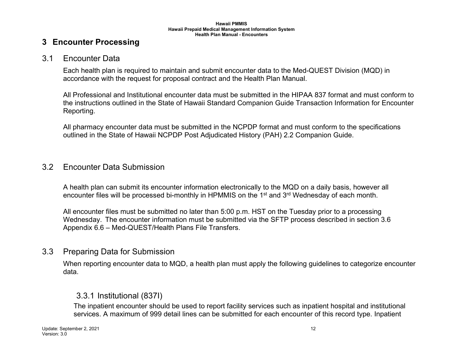#### **3 Encounter Processing**

#### 3.1 Encounter Data

Each health plan is required to maintain and submit encounter data to the Med-QUEST Division (MQD) in accordance with the request for proposal contract and the Health Plan Manual.

All Professional and Institutional encounter data must be submitted in the HIPAA 837 format and must conform to the instructions outlined in the State of Hawaii Standard Companion Guide Transaction Information for Encounter Reporting.

All pharmacy encounter data must be submitted in the NCPDP format and must conform to the specifications outlined in the State of Hawaii NCPDP Post Adjudicated History (PAH) 2.2 Companion Guide.

#### <span id="page-11-1"></span><span id="page-11-0"></span>3.2 Encounter Data Submission

A health plan can submit its encounter information electronically to the MQD on a daily basis, however all encounter files will be processed bi-monthly in HPMMIS on the 1<sup>st</sup> and 3<sup>rd</sup> Wednesday of each month.

All encounter files must be submitted no later than 5:00 p.m. HST on the Tuesday prior to a processing Wednesday. The encounter information must be submitted via the SFTP process described in section 3.6 Appendix 6.6 – [Med-QUEST/Health Plans File Transfers.](#page-25-5)

#### <span id="page-11-2"></span>3.3 Preparing Data for Submission

When reporting encounter data to MQD, a health plan must apply the following guidelines to categorize encounter data.

#### 3.3.1 Institutional (837I)

<span id="page-11-4"></span><span id="page-11-3"></span>The inpatient encounter should be used to report facility services such as inpatient hospital and institutional services. A maximum of 999 detail lines can be submitted for each encounter of this record type. Inpatient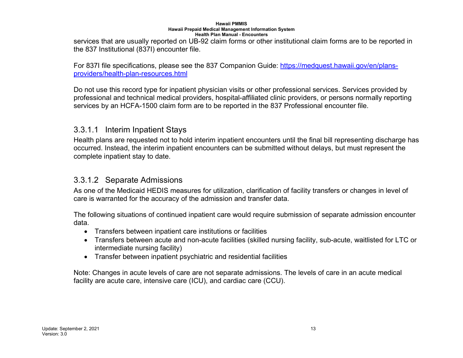services that are usually reported on UB-92 claim forms or other institutional claim forms are to be reported in the 837 Institutional (837I) encounter file.

For 837I file specifications, please see the 837 Companion Guide: [https://medquest.hawaii.gov/en/plans](https://medquest.hawaii.gov/en/plans-providers/health-plan-resources.html)[providers/health-plan-resources.html](https://medquest.hawaii.gov/en/plans-providers/health-plan-resources.html)

Do not use this record type for inpatient physician visits or other professional services. Services provided by professional and technical medical providers, hospital-affiliated clinic providers, or persons normally reporting services by an HCFA-1500 claim form are to be reported in the 837 Professional encounter file.

#### 3.3.1.1 Interim Inpatient Stays

Health plans are requested not to hold interim inpatient encounters until the final bill representing discharge has occurred. Instead, the interim inpatient encounters can be submitted without delays, but must represent the complete inpatient stay to date.

#### 3.3.1.2 Separate Admissions

As one of the Medicaid HEDIS measures for utilization, clarification of facility transfers or changes in level of care is warranted for the accuracy of the admission and transfer data.

<span id="page-12-0"></span>The following situations of continued inpatient care would require submission of separate admission encounter data.

- Transfers between inpatient care institutions or facilities
- Transfers between acute and non-acute facilities (skilled nursing facility, sub-acute, waitlisted for LTC or intermediate nursing facility)
- Transfer between inpatient psychiatric and residential facilities

<span id="page-12-1"></span>Note: Changes in acute levels of care are not separate admissions. The levels of care in an acute medical facility are acute care, intensive care (ICU), and cardiac care (CCU).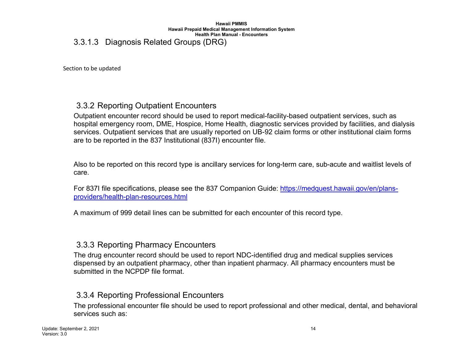#### 3.3.1.3 Diagnosis Related Groups (DRG)

Section to be updated

## 3.3.2 Reporting Outpatient Encounters

Outpatient encounter record should be used to report medical-facility-based outpatient services, such as hospital emergency room, DME, Hospice, Home Health, diagnostic services provided by facilities, and dialysis services. Outpatient services that are usually reported on UB-92 claim forms or other institutional claim forms are to be reported in the 837 Institutional (837I) encounter file.

<span id="page-13-0"></span>Also to be reported on this record type is ancillary services for long-term care, sub-acute and waitlist levels of care.

For 837I file specifications, please see the 837 Companion Guide: [https://medquest.hawaii.gov/en/plans](https://medquest.hawaii.gov/en/plans-providers/health-plan-resources.html)[providers/health-plan-resources.html](https://medquest.hawaii.gov/en/plans-providers/health-plan-resources.html)

<span id="page-13-1"></span>A maximum of 999 detail lines can be submitted for each encounter of this record type.

## 3.3.3 Reporting Pharmacy Encounters

The drug encounter record should be used to report NDC-identified drug and medical supplies services dispensed by an outpatient pharmacy, other than inpatient pharmacy. All pharmacy encounters must be submitted in the NCPDP file format.

#### 3.3.4 Reporting Professional Encounters

<span id="page-13-3"></span><span id="page-13-2"></span>The professional encounter file should be used to report professional and other medical, dental, and behavioral services such as: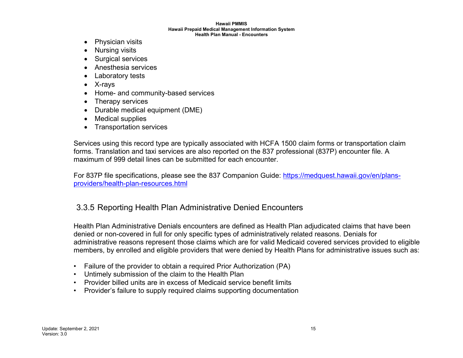- Physician visits
- Nursing visits
- Surgical services
- Anesthesia services
- Laboratory tests
- X-rays
- Home- and community-based services
- Therapy services
- Durable medical equipment (DME)
- Medical supplies
- Transportation services

Services using this record type are typically associated with HCFA 1500 claim forms or transportation claim forms. Translation and taxi services are also reported on the 837 professional (837P) encounter file. A maximum of 999 detail lines can be submitted for each encounter.

For 837P file specifications, please see the 837 Companion Guide: [https://medquest.hawaii.gov/en/plans](https://medquest.hawaii.gov/en/plans-providers/health-plan-resources.html)[providers/health-plan-resources.html](https://medquest.hawaii.gov/en/plans-providers/health-plan-resources.html)

## 3.3.5 Reporting Health Plan Administrative Denied Encounters

Health Plan Administrative Denials encounters are defined as Health Plan adjudicated claims that have been denied or non-covered in full for only specific types of administratively related reasons. Denials for administrative reasons represent those claims which are for valid Medicaid covered services provided to eligible members, by enrolled and eligible providers that were denied by Health Plans for administrative issues such as:

- Failure of the provider to obtain a required Prior Authorization (PA)
- Untimely submission of the claim to the Health Plan
- Provider billed units are in excess of Medicaid service benefit limits
- <span id="page-14-0"></span>• Provider's failure to supply required claims supporting documentation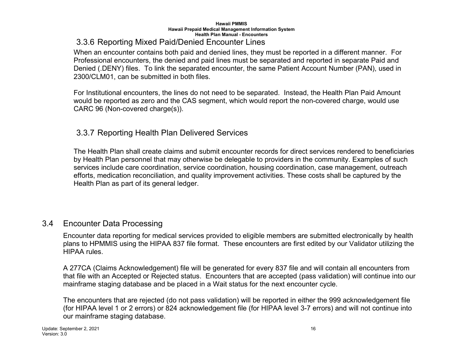## 3.3.6 Reporting Mixed Paid/Denied Encounter Lines

When an encounter contains both paid and denied lines, they must be reported in a different manner. For Professional encounters, the denied and paid lines must be separated and reported in separate Paid and Denied (.DENY) files. To link the separated encounter, the same Patient Account Number (PAN), used in 2300/CLM01, can be submitted in both files.

For Institutional encounters, the lines do not need to be separated. Instead, the Health Plan Paid Amount would be reported as zero and the CAS segment, which would report the non-covered charge, would use CARC 96 (Non-covered charge(s)).

## 3.3.7 Reporting Health Plan Delivered Services

<span id="page-15-0"></span>The Health Plan shall create claims and submit encounter records for direct services rendered to beneficiaries by Health Plan personnel that may otherwise be delegable to providers in the community. Examples of such services include care coordination, service coordination, housing coordination, case management, outreach efforts, medication reconciliation, and quality improvement activities. These costs shall be captured by the Health Plan as part of its general ledger.

## <span id="page-15-1"></span>3.4 Encounter Data Processing

Encounter data reporting for medical services provided to eligible members are submitted electronically by health plans to HPMMIS using the HIPAA 837 file format. These encounters are first edited by our Validator utilizing the HIPAA rules.

A 277CA (Claims Acknowledgement) file will be generated for every 837 file and will contain all encounters from that file with an Accepted or Rejected status. Encounters that are accepted (pass validation) will continue into our mainframe staging database and be placed in a Wait status for the next encounter cycle.

<span id="page-15-2"></span>The encounters that are rejected (do not pass validation) will be reported in either the 999 acknowledgement file (for HIPAA level 1 or 2 errors) or 824 acknowledgement file (for HIPAA level 3-7 errors) and will not continue into our mainframe staging database.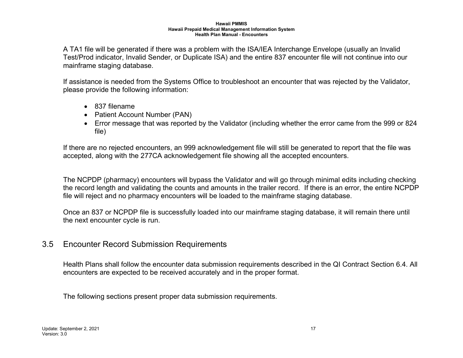A TA1 file will be generated if there was a problem with the ISA/IEA Interchange Envelope (usually an Invalid Test/Prod indicator, Invalid Sender, or Duplicate ISA) and the entire 837 encounter file will not continue into our mainframe staging database.

If assistance is needed from the Systems Office to troubleshoot an encounter that was rejected by the Validator, please provide the following information:

- 837 filename
- Patient Account Number (PAN)
- Error message that was reported by the Validator (including whether the error came from the 999 or 824 file)

If there are no rejected encounters, an 999 acknowledgement file will still be generated to report that the file was accepted, along with the 277CA acknowledgement file showing all the accepted encounters.

The NCPDP (pharmacy) encounters will bypass the Validator and will go through minimal edits including checking the record length and validating the counts and amounts in the trailer record. If there is an error, the entire NCPDP file will reject and no pharmacy encounters will be loaded to the mainframe staging database.

Once an 837 or NCPDP file is successfully loaded into our mainframe staging database, it will remain there until the next encounter cycle is run.

## 3.5 Encounter Record Submission Requirements

Health Plans shall follow the encounter data submission requirements described in the QI Contract Section 6.4. All encounters are expected to be received accurately and in the proper format.

<span id="page-16-0"></span>The following sections present proper data submission requirements.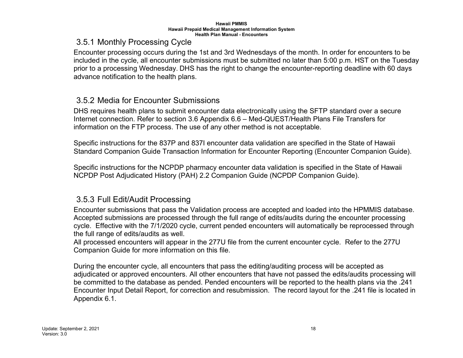## 3.5.1 Monthly Processing Cycle

Encounter processing occurs during the 1st and 3rd Wednesdays of the month. In order for encounters to be included in the cycle, all encounter submissions must be submitted no later than 5:00 p.m. HST on the Tuesday prior to a processing Wednesday. DHS has the right to change the encounter-reporting deadline with 60 days advance notification to the health plans.

#### 3.5.2 Media for Encounter Submissions

DHS requires health plans to submit encounter data electronically using the SFTP standard over a secure Internet connection. Refer to section 3.6 Appendix 6.6 – [Med-QUEST/Health Plans File Transfers](#page-25-5) for information on the FTP process. The use of any other method is not acceptable.

<span id="page-17-0"></span>Specific instructions for the 837P and 837I encounter data validation are specified in the State of Hawaii Standard Companion Guide Transaction Information for Encounter Reporting (Encounter Companion Guide).

Specific instructions for the NCPDP pharmacy encounter data validation is specified in the State of Hawaii NCPDP Post Adjudicated History (PAH) 2.2 Companion Guide (NCPDP Companion Guide).

## <span id="page-17-1"></span>3.5.3 Full Edit/Audit Processing

Encounter submissions that pass the Validation process are accepted and loaded into the HPMMIS database. Accepted submissions are processed through the full range of edits/audits during the encounter processing cycle. Effective with the 7/1/2020 cycle, current pended encounters will automatically be reprocessed through the full range of edits/audits as well.

All processed encounters will appear in the 277U file from the current encounter cycle. Refer to the 277U Companion Guide for more information on this file.

<span id="page-17-2"></span>During the encounter cycle, all encounters that pass the editing/auditing process will be accepted as adjudicated or approved encounters. All other encounters that have not passed the edits/audits processing will be committed to the database as pended. Pended encounters will be reported to the health plans via the .241 Encounter Input Detail Report, for correction and resubmission. The record layout for the .241 file is located in Appendix 6.1.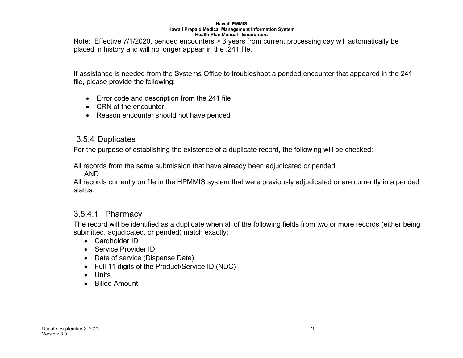Note: Effective 7/1/2020, pended encounters > 3 years from current processing day will automatically be placed in history and will no longer appear in the .241 file.

If assistance is needed from the Systems Office to troubleshoot a pended encounter that appeared in the 241 file, please provide the following:

- Error code and description from the 241 file
- CRN of the encounter
- Reason encounter should not have pended

#### 3.5.4 Duplicates

For the purpose of establishing the existence of a duplicate record, the following will be checked:

All records from the same submission that have already been adjudicated or pended,

AND

All records currently on file in the HPMMIS system that were previously adjudicated or are currently in a pended status.

## 3.5.4.1 Pharmacy

<span id="page-18-0"></span>The record will be identified as a duplicate when all of the following fields from two or more records (either being submitted, adjudicated, or pended) match exactly:

- Cardholder ID
- Service Provider ID
- Date of service (Dispense Date)
- Full 11 digits of the Product/Service ID (NDC)
- Units
- <span id="page-18-1"></span>• Billed Amount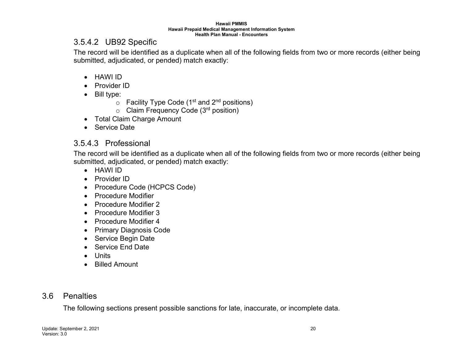#### 3.5.4.2 UB92 Specific

The record will be identified as a duplicate when all of the following fields from two or more records (either being submitted, adjudicated, or pended) match exactly:

- HAWI ID
- Provider ID
- Bill type:
	- $\circ$  Facility Type Code (1<sup>st</sup> and 2<sup>nd</sup> positions)
	- $\circ$  Claim Frequency Code (3<sup>rd</sup> position)
- Total Claim Charge Amount
- Service Date

## <span id="page-19-0"></span>3.5.4.3 Professional

The record will be identified as a duplicate when all of the following fields from two or more records (either being submitted, adjudicated, or pended) match exactly:

- HAWI ID
- Provider ID
- Procedure Code (HCPCS Code)
- Procedure Modifier
- Procedure Modifier 2
- Procedure Modifier 3
- Procedure Modifier 4
- Primary Diagnosis Code
- <span id="page-19-1"></span>• Service Begin Date
- Service End Date
- Units
- Billed Amount

## 3.6 Penalties

<span id="page-19-2"></span>The following sections present possible sanctions for late, inaccurate, or incomplete data.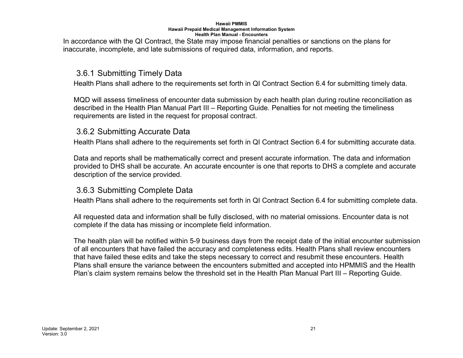In accordance with the QI Contract, the State may impose financial penalties or sanctions on the plans for inaccurate, incomplete, and late submissions of required data, information, and reports.

#### 3.6.1 Submitting Timely Data

Health Plans shall adhere to the requirements set forth in QI Contract Section 6.4 for submitting timely data.

MQD will assess timeliness of encounter data submission by each health plan during routine reconciliation as described in the Health Plan Manual Part III – Reporting Guide. Penalties for not meeting the timeliness requirements are listed in the request for proposal contract.

#### 3.6.2 Submitting Accurate Data

Health Plans shall adhere to the requirements set forth in QI Contract Section 6.4 for submitting accurate data.

<span id="page-20-0"></span>Data and reports shall be mathematically correct and present accurate information. The data and information provided to DHS shall be accurate. An accurate encounter is one that reports to DHS a complete and accurate description of the service provided.

#### 3.6.3 Submitting Complete Data

Health Plans shall adhere to the requirements set forth in QI Contract Section 6.4 for submitting complete data.

All requested data and information shall be fully disclosed, with no material omissions. Encounter data is not complete if the data has missing or incomplete field information.

<span id="page-20-2"></span><span id="page-20-1"></span>The health plan will be notified within 5-9 business days from the receipt date of the initial encounter submission of all encounters that have failed the accuracy and completeness edits. Health Plans shall review encounters that have failed these edits and take the steps necessary to correct and resubmit these encounters. Health Plans shall ensure the variance between the encounters submitted and accepted into HPMMIS and the Health Plan's claim system remains below the threshold set in the Health Plan Manual Part III – Reporting Guide.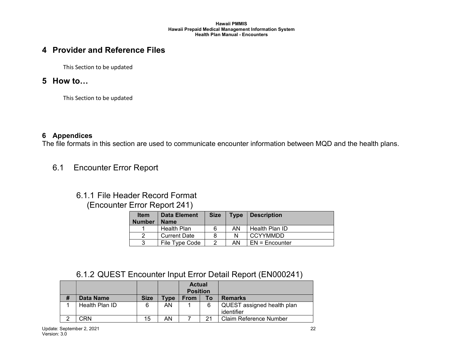## **4 Provider and Reference Files**

This Section to be updated

#### **5 How to…**

This Section to be updated

#### **6 Appendices**

<span id="page-21-0"></span>The file formats in this section are used to communicate encounter information between MQD and the health plans.

<span id="page-21-1"></span>6.1 Encounter Error Report

## 6.1.1 File Header Record Format

#### (Encounter Error Report 241)

| <b>Item</b><br><b>Number</b> | Data Element<br><b>Name</b> | <b>Size</b> | <b>Type</b> | <b>Description</b> |
|------------------------------|-----------------------------|-------------|-------------|--------------------|
|                              | Health Plan                 | 6           | AN          | Health Plan ID     |
|                              | <b>Current Date</b>         |             |             | <b>CCYYMMDD</b>    |
| 2                            | File Type Code              |             | AN.         | $FN =$ Encounter   |

#### <span id="page-21-2"></span>6.1.2 QUEST Encounter Input Error Detail Report (EN000241)

<span id="page-21-5"></span><span id="page-21-4"></span><span id="page-21-3"></span>

|   |                |             |             | <b>Actual</b><br><b>Position</b> |    |                                          |
|---|----------------|-------------|-------------|----------------------------------|----|------------------------------------------|
| # | Data Name      | <b>Size</b> | <b>Type</b> | <b>From</b>                      | То | <b>Remarks</b>                           |
|   | Health Plan ID | 6           | AN          |                                  | 6  | QUEST assigned health plan<br>identifier |
|   | ΩRΝ.           | 15          | AN          |                                  | 21 | <b>Claim Reference Number</b>            |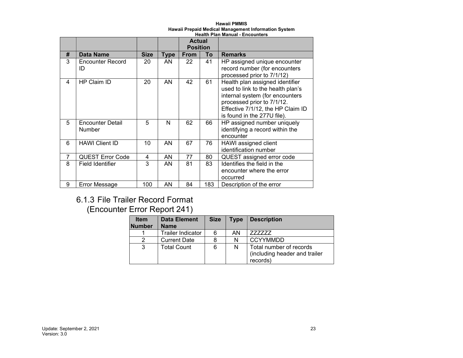#### **Hawaii PMMIS Hawaii Prepaid Medical Management Information System**

|   | <b>Health Plan Manual - Encounters</b> |             |             |                 |     |                                                                                                                                                                                                           |  |  |
|---|----------------------------------------|-------------|-------------|-----------------|-----|-----------------------------------------------------------------------------------------------------------------------------------------------------------------------------------------------------------|--|--|
|   |                                        |             |             | <b>Actual</b>   |     |                                                                                                                                                                                                           |  |  |
|   |                                        |             |             | <b>Position</b> |     |                                                                                                                                                                                                           |  |  |
| # | Data Name                              | <b>Size</b> | <b>Type</b> | <b>From</b>     | To  | <b>Remarks</b>                                                                                                                                                                                            |  |  |
| 3 | <b>Encounter Record</b><br>ID          | 20          | AN          | 22              | 41  | HP assigned unique encounter<br>record number (for encounters<br>processed prior to 7/1/12)                                                                                                               |  |  |
| 4 | HP Claim ID                            | 20          | AN          | 42              | 61  | Health plan assigned identifier<br>used to link to the health plan's<br>internal system (for encounters<br>processed prior to 7/1/12.<br>Effective 7/1/12, the HP Claim ID<br>is found in the 277U file). |  |  |
| 5 | <b>Encounter Detail</b><br>Number      | 5           | N           | 62              | 66  | HP assigned number uniquely<br>identifying a record within the<br>encounter                                                                                                                               |  |  |
| 6 | <b>HAWI Client ID</b>                  | 10          | AN          | 67              | 76  | HAWI assigned client<br>identification number                                                                                                                                                             |  |  |
| 7 | <b>QUEST Error Code</b>                | 4           | AN          | 77              | 80  | QUEST assigned error code                                                                                                                                                                                 |  |  |
| 8 | Field Identifier                       | 3           | AN          | 81              | 83  | Identifies the field in the<br>encounter where the error<br>occurred                                                                                                                                      |  |  |
| 9 | <b>Error Message</b>                   | 100         | AN          | 84              | 183 | Description of the error                                                                                                                                                                                  |  |  |

## 6.1.3 File Trailer Record Format

## <span id="page-22-0"></span>(Encounter Error Report 241)

| <b>Item</b><br><b>Number</b> | <b>Data Element</b><br><b>Name</b>    | <b>Size</b> | <b>Type</b> | <b>Description</b>                                                   |
|------------------------------|---------------------------------------|-------------|-------------|----------------------------------------------------------------------|
|                              | Trailer Indicator<br>AN<br>6<br>77777 |             |             |                                                                      |
|                              | <b>Current Date</b>                   |             | N           | <b>CCYYMMDD</b>                                                      |
| 3                            | <b>Total Count</b>                    | 6           | N           | Total number of records<br>(including header and trailer<br>records) |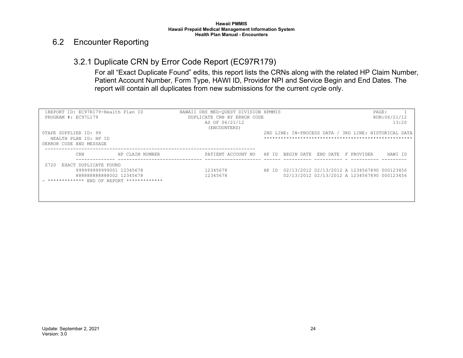#### 6.2 Encounter Reporting

## 3.2.1 Duplicate CRN by Error Code Report (EC97R179)

For all "Exact Duplicate Found" edits, this report lists the CRNs along with the related HP Claim Number, Patient Account Number, Form Type, HAWI ID, Provider NPI and Service Begin and End Dates. The report will contain all duplicates from new submissions for the current cycle only.

<span id="page-23-1"></span><span id="page-23-0"></span>

| 1REPORT ID: EC97R179-Health Plan ID       | HAWAII DHS MED-OUEST DIVISION HPMMIS         |                                                       | PAGE:                 |
|-------------------------------------------|----------------------------------------------|-------------------------------------------------------|-----------------------|
| PROGRAM #: EC97L179                       | DUPLICATE CRN BY ERROR CODE                  |                                                       | RUN:06/21/12          |
|                                           | AS OF 06/21/12                               |                                                       | 13:20                 |
|                                           | (ENCOUNTERS)                                 |                                                       |                       |
| OTAPE SUPPLIER ID: 99                     |                                              | 2ND LINE: IN-PROCESS DATA / 3RD LINE: HISTORICAL DATA |                       |
| HEALTH PLAN ID: HP ID                     |                                              |                                                       |                       |
| OERROR CODE AND MESSAGE                   |                                              |                                                       |                       |
|                                           |                                              |                                                       |                       |
| CRN<br>HP CLAIM NUMBER                    | PATIENT ACCOUNT NO HP ID BEGIN DATE END DATE |                                                       | HAWI ID<br>F PROVIDER |
| EXACT DUPLICATE FOUND<br>7720             |                                              |                                                       |                       |
| 999999999999001 12345678                  | 12345678                                     | HP ID 02/13/2012 02/13/2012 A 1234567890 000123456    |                       |
| 88888888888002 12345678                   | 12345678                                     | 02/13/2012 02/13/2012 A 1234567890 000123456          |                       |
| ************* END OF REPORT ************* |                                              |                                                       |                       |
|                                           |                                              |                                                       |                       |
|                                           |                                              |                                                       |                       |
|                                           |                                              |                                                       |                       |
|                                           |                                              |                                                       |                       |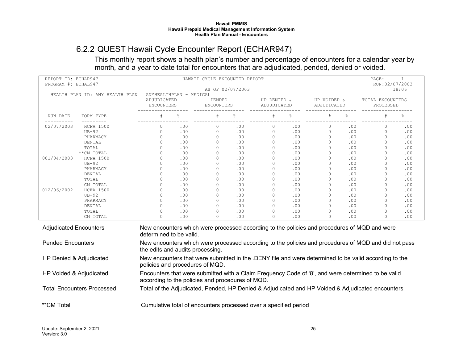## 6.2.2 QUEST Hawaii Cycle Encounter Report (ECHAR947)

This monthly report shows a health plan's number and percentage of encounters for a calendar year by month, and a year to date total for encounters that are adjudicated, pended, denied or voided.

<span id="page-24-0"></span>

| REPORT ID: ECHAR947<br>PROGRAM #: ECHAL947 |                  | HAWAII CYCLE ENCOUNTER REPORT                                                                                                                          |                |                      |                  |                            |     |                            | PAGE:<br>$\mathbf{1}$<br>RUN:02/07/2003 |                                                                                              |       |
|--------------------------------------------|------------------|--------------------------------------------------------------------------------------------------------------------------------------------------------|----------------|----------------------|------------------|----------------------------|-----|----------------------------|-----------------------------------------|----------------------------------------------------------------------------------------------|-------|
|                                            |                  |                                                                                                                                                        |                |                      | AS OF 02/07/2003 |                            |     |                            |                                         |                                                                                              | 18:06 |
| HEALTH PLAN ID: ANY HEALTH PLAN            |                  | ANYHEALTHPLAN - MEDICAL<br>ADJUDICATED<br>ENCOUNTERS                                                                                                   |                | PENDED<br>ENCOUNTERS |                  | HP DENIED &<br>ADJUDICATED |     | HP VOIDED &<br>ADJUDICATED |                                         | TOTAL ENCOUNTERS<br>PROCESSED                                                                |       |
| RUN DATE                                   | FORM TYPE        |                                                                                                                                                        | $\frac{1}{10}$ |                      | ę                |                            |     |                            |                                         |                                                                                              |       |
| 02/07/2003                                 | <b>HCFA 1500</b> | $\Omega$                                                                                                                                               | .00            | $\circ$              | .00.             | $\circ$                    | .00 | $\circ$                    | .00                                     | $\circ$                                                                                      | .00   |
|                                            | $UB-92$          | $\mathbf 0$                                                                                                                                            | .00            | $\circ$              | .00              | $\circ$                    | .00 | $\circ$                    | .00                                     | $\circ$                                                                                      | .00   |
|                                            | PHARMACY         | $\Omega$                                                                                                                                               | .00            | $\circ$              | .00              | $\circ$                    | .00 | $\circ$                    | .00                                     | $\Omega$                                                                                     | .00   |
|                                            | DENTAL           | $\Omega$                                                                                                                                               | .00            | $\circ$              | .00              | $\Omega$                   | .00 | $\circ$                    | .00                                     | $\Omega$                                                                                     | .00   |
|                                            | TOTAL            | $\cap$                                                                                                                                                 | .00            | $\circ$              | .00              | $\Omega$                   | .00 | $\circ$                    | .00                                     | $\Omega$                                                                                     | .00   |
|                                            | **CM TOTAL       | $\cap$                                                                                                                                                 | .00            | $\Omega$             | .00              | $\bigcap$                  | .00 | $\Omega$                   | .00                                     | $\Omega$                                                                                     | .00   |
| 001/04/2003                                | <b>HCFA 1500</b> | $\Omega$                                                                                                                                               | .00            | $\circ$              | .00              | $\circ$                    | .00 | $\circ$                    | .00                                     | $\Omega$                                                                                     | .00   |
|                                            | $UB-92$          | $\cap$                                                                                                                                                 | .00            | $\circ$              | .00              | $\Omega$                   | .00 | $\circ$                    | .00                                     | $\Omega$                                                                                     | .00   |
|                                            | PHARMACY         | $\cap$                                                                                                                                                 | .00            | $\Omega$             | .00              | $\bigcap$                  | .00 | $\Omega$                   | .00                                     | $\Omega$                                                                                     | .00   |
|                                            | DENTAL           | $\Omega$                                                                                                                                               | .00            | $\circ$              | .00              | $\Omega$                   | .00 | $\circ$                    | .00                                     | $\Omega$                                                                                     | .00   |
|                                            | TOTAL            | $\Omega$                                                                                                                                               | .00            | $\Omega$             | .00              | $\Omega$                   | .00 | $\Omega$                   | .00                                     | $\Omega$                                                                                     | .00   |
|                                            | CM TOTAL         |                                                                                                                                                        | .00            | $\Omega$             | .00              | $\Omega$                   | .00 | $\Omega$                   | .00                                     | $\Omega$                                                                                     | .00   |
| 012/06/2002                                | <b>HCFA 1500</b> | $\Omega$                                                                                                                                               | .00            | $\circ$              | .00              | $\Omega$                   | .00 | $\circ$                    | .00                                     | $\Omega$                                                                                     | .00   |
|                                            | $UB-92$          | $\Omega$                                                                                                                                               | .00            | $\mathbf{0}$         | .00              | $\mathbf{0}$               | .00 | $\mathbf{0}$               | .00                                     | $\Omega$                                                                                     | .00   |
|                                            | PHARMACY         | $\cap$                                                                                                                                                 | .00            | $\Omega$             | .00              | $\Omega$                   | .00 | $\Omega$                   | .00                                     | $\Omega$                                                                                     | .00   |
|                                            | DENTAL           | $\cap$                                                                                                                                                 | .00            | $\Omega$             | .00              | $\Omega$                   | .00 | $\circ$                    | .00                                     | $\Omega$                                                                                     | .00   |
|                                            | TOTAL            | $\bigcap$                                                                                                                                              | .00            | $\Omega$             | .00              | $\Omega$                   | .00 | $\Omega$                   | .00                                     | $\Omega$                                                                                     | .00   |
|                                            | CM TOTAL         | $\Omega$                                                                                                                                               | .00            | $\Omega$             | .00              | $\Omega$                   | .00 | $\Omega$                   | .00                                     | $\Omega$                                                                                     | .00   |
| <b>Adjudicated Encounters</b>              |                  | determined to be valid.                                                                                                                                |                |                      |                  |                            |     |                            |                                         | New encounters which were processed according to the policies and procedures of MQD and were |       |
| <b>Pended Encounters</b>                   |                  | New encounters which were processed according to the policies and procedures of MQD and did not pass<br>the edits and audits processing.               |                |                      |                  |                            |     |                            |                                         |                                                                                              |       |
| HP Denied & Adjudicated                    |                  | New encounters that were submitted in the .DENY file and were determined to be valid according to the<br>policies and procedures of MQD.               |                |                      |                  |                            |     |                            |                                         |                                                                                              |       |
| HP Voided & Adjudicated                    |                  | Encounters that were submitted with a Claim Frequency Code of '8', and were determined to be valid<br>according to the policies and procedures of MQD. |                |                      |                  |                            |     |                            |                                         |                                                                                              |       |
| <b>Total Encounters Processed</b>          |                  | Total of the Adjudicated, Pended, HP Denied & Adjudicated and HP Voided & Adjudicated encounters.                                                      |                |                      |                  |                            |     |                            |                                         |                                                                                              |       |
| **CM Total                                 |                  | Cumulative total of encounters processed over a specified period                                                                                       |                |                      |                  |                            |     |                            |                                         |                                                                                              |       |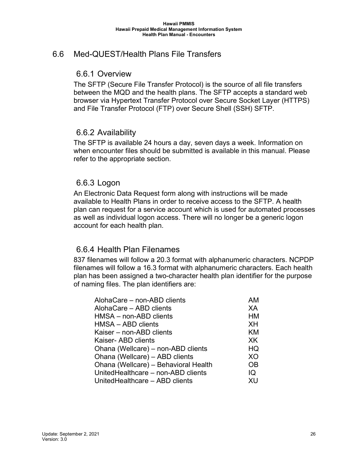## <span id="page-25-5"></span><span id="page-25-1"></span><span id="page-25-0"></span>6.6 Med-QUEST/Health Plans File Transfers

#### 6.6.1 Overview

The SFTP (Secure File Transfer Protocol) is the source of all file transfers between the MQD and the health plans. The SFTP accepts a standard web browser via Hypertext Transfer Protocol over Secure Socket Layer (HTTPS) and File Transfer Protocol (FTP) over Secure Shell (SSH) SFTP.

#### <span id="page-25-2"></span>6.6.2 Availability

The SFTP is available 24 hours a day, seven days a week. Information on when encounter files should be submitted is available in this manual. Please refer to the appropriate section.

#### <span id="page-25-3"></span>6.6.3 Logon

An Electronic Data Request form along with instructions will be made available to Health Plans in order to receive access to the SFTP. A health plan can request for a service account which is used for automated processes as well as individual logon access. There will no longer be a generic logon account for each health plan.

#### <span id="page-25-4"></span>6.6.4 Health Plan Filenames

837 filenames will follow a 20.3 format with alphanumeric characters. NCPDP filenames will follow a 16.3 format with alphanumeric characters. Each health plan has been assigned a two-character health plan identifier for the purpose of naming files. The plan identifiers are:

| AlohaCare - non-ABD clients          | AM        |
|--------------------------------------|-----------|
| AlohaCare - ABD clients              | XА        |
| HMSA - non-ABD clients               | HM        |
| HMSA - ABD clients                   | XH        |
| Kaiser – non-ABD clients             | KM        |
| Kaiser- ABD clients                  | XK        |
| Ohana (Wellcare) - non-ABD clients   | HQ        |
| Ohana (Wellcare) - ABD clients       | XO        |
| Ohana (Wellcare) - Behavioral Health | <b>OB</b> |
| UnitedHealthcare - non-ABD clients   | IQ        |
| UnitedHealthcare - ABD clients       | XU        |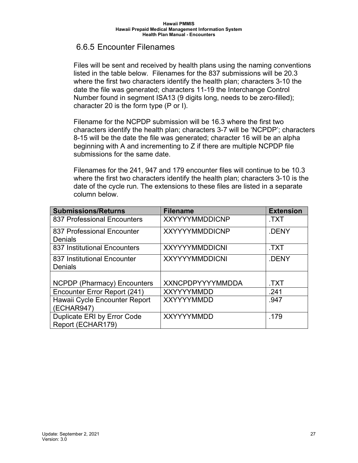#### <span id="page-26-0"></span>6.6.5 Encounter Filenames

Files will be sent and received by health plans using the naming conventions listed in the table below. Filenames for the 837 submissions will be 20.3 where the first two characters identify the health plan; characters 3-10 the date the file was generated; characters 11-19 the Interchange Control Number found in segment ISA13 (9 digits long, needs to be zero-filled); character 20 is the form type (P or I).

Filename for the NCPDP submission will be 16.3 where the first two characters identify the health plan; characters 3-7 will be 'NCPDP'; characters 8-15 will be the date the file was generated; character 16 will be an alpha beginning with A and incrementing to Z if there are multiple NCPDP file submissions for the same date.

Filenames for the 241, 947 and 179 encounter files will continue to be 10.3 where the first two characters identify the health plan; characters 3-10 is the date of the cycle run. The extensions to these files are listed in a separate column below.

| <b>Submissions/Returns</b>         | <b>Filename</b>         | <b>Extension</b> |
|------------------------------------|-------------------------|------------------|
| 837 Professional Encounters        | <b>XXYYYYMMDDICNP</b>   | .TXT             |
| 837 Professional Encounter         | <b>XXYYYYMMDDICNP</b>   | .DENY            |
| <b>Denials</b>                     |                         |                  |
| 837 Institutional Encounters       | <b>XXYYYYMMDDICNI</b>   | TXT.             |
| 837 Institutional Encounter        | <b>XXYYYYMMDDICNI</b>   | .DENY            |
| <b>Denials</b>                     |                         |                  |
|                                    |                         |                  |
| <b>NCPDP (Pharmacy) Encounters</b> | <b>XXNCPDPYYYYMMDDA</b> | TXT.             |
| Encounter Error Report (241)       | <b>XXYYYYMMDD</b>       | .241             |
| Hawaii Cycle Encounter Report      | <b>XXYYYYMMDD</b>       | .947             |
| (ECHAR947)                         |                         |                  |
| Duplicate ERI by Error Code        | <b>XXYYYYMMDD</b>       | .179             |
| Report (ECHAR179)                  |                         |                  |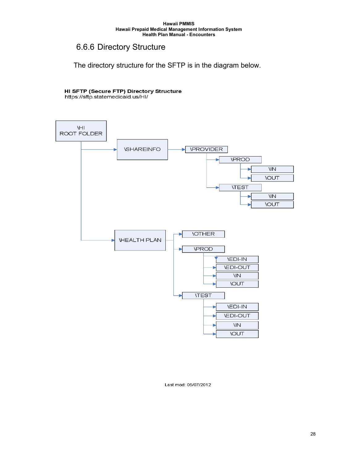#### <span id="page-27-0"></span>6.6.6 Directory Structure

The directory structure for the SFTP is in the diagram below.

## HI SFTP (Secure FTP) Directory Structure<br>https://sftp.statemedicaid.us/HI/



#### Last mod: 05/07/2012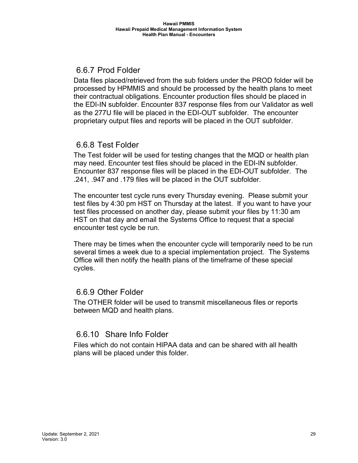## <span id="page-28-0"></span>6.6.7 Prod Folder

Data files placed/retrieved from the sub folders under the PROD folder will be processed by HPMMIS and should be processed by the health plans to meet their contractual obligations. Encounter production files should be placed in the EDI-IN subfolder. Encounter 837 response files from our Validator as well as the 277U file will be placed in the EDI-OUT subfolder. The encounter proprietary output files and reports will be placed in the OUT subfolder.

## <span id="page-28-1"></span>6.6.8 Test Folder

The Test folder will be used for testing changes that the MQD or health plan may need. Encounter test files should be placed in the EDI-IN subfolder. Encounter 837 response files will be placed in the EDI-OUT subfolder. The .241, .947 and .179 files will be placed in the OUT subfolder.

The encounter test cycle runs every Thursday evening. Please submit your test files by 4:30 pm HST on Thursday at the latest. If you want to have your test files processed on another day, please submit your files by 11:30 am HST on that day and email the Systems Office to request that a special encounter test cycle be run.

There may be times when the encounter cycle will temporarily need to be run several times a week due to a special implementation project. The Systems Office will then notify the health plans of the timeframe of these special cycles.

#### <span id="page-28-2"></span>6.6.9 Other Folder

The OTHER folder will be used to transmit miscellaneous files or reports between MQD and health plans.

## <span id="page-28-3"></span>6.6.10 Share Info Folder

Files which do not contain HIPAA data and can be shared with all health plans will be placed under this folder.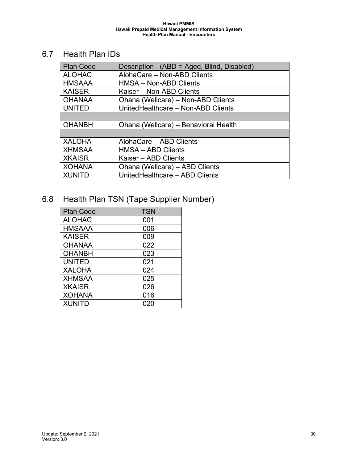## <span id="page-29-0"></span>6.7 Health Plan IDs

| <b>Plan Code</b> | Description (ABD = Aged, Blind, Disabled) |  |  |  |  |
|------------------|-------------------------------------------|--|--|--|--|
| <b>ALOHAC</b>    | AlohaCare - Non-ABD Clients               |  |  |  |  |
| <b>HMSAAA</b>    | HMSA - Non-ABD Clients                    |  |  |  |  |
| <b>KAISER</b>    | Kaiser - Non-ABD Clients                  |  |  |  |  |
| <b>OHANAA</b>    | Ohana (Wellcare) - Non-ABD Clients        |  |  |  |  |
| <b>UNITED</b>    | UnitedHealthcare - Non-ABD Clients        |  |  |  |  |
|                  |                                           |  |  |  |  |
| <b>OHANBH</b>    | Ohana (Wellcare) - Behavioral Health      |  |  |  |  |
|                  |                                           |  |  |  |  |
| <b>XALOHA</b>    | AlohaCare - ABD Clients                   |  |  |  |  |
| <b>XHMSAA</b>    | <b>HMSA - ABD Clients</b>                 |  |  |  |  |
| <b>XKAISR</b>    | Kaiser - ABD Clients                      |  |  |  |  |
| <b>XOHANA</b>    | Ohana (Wellcare) - ABD Clients            |  |  |  |  |
| <b>XUNITD</b>    | UnitedHealthcare - ABD Clients            |  |  |  |  |

## <span id="page-29-1"></span>6.8 Health Plan TSN (Tape Supplier Number)

| <b>Plan Code</b> | <b>TSN</b> |
|------------------|------------|
| <b>ALOHAC</b>    | 001        |
| <b>HMSAAA</b>    | 006        |
| <b>KAISER</b>    | 009        |
| <b>OHANAA</b>    | 022        |
| <b>OHANBH</b>    | 023        |
| <b>UNITED</b>    | 021        |
| <b>XALOHA</b>    | 024        |
| <b>XHMSAA</b>    | 025        |
| <b>XKAISR</b>    | 026        |
| <b>XOHANA</b>    | 016        |
| <b>XUNITD</b>    | 020        |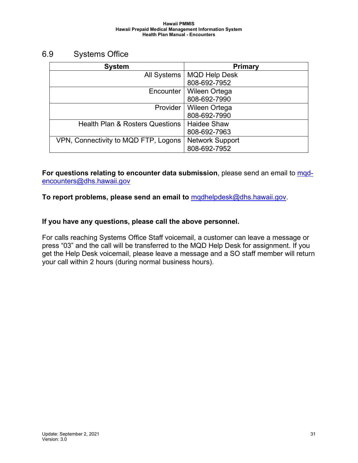#### <span id="page-30-0"></span>6.9 Systems Office

| <b>System</b>                              | <b>Primary</b>         |
|--------------------------------------------|------------------------|
| <b>All Systems</b>                         | <b>MQD Help Desk</b>   |
|                                            | 808-692-7952           |
| Encounter                                  | <b>Wileen Ortega</b>   |
|                                            | 808-692-7990           |
| Provider                                   | <b>Wileen Ortega</b>   |
|                                            | 808-692-7990           |
| <b>Health Plan &amp; Rosters Questions</b> | <b>Haidee Shaw</b>     |
|                                            | 808-692-7963           |
| VPN, Connectivity to MQD FTP, Logons       | <b>Network Support</b> |
|                                            | 808-692-7952           |

**For questions relating to encounter data submission**, please send an email to mod[encounters@dhs.hawaii.gov](mailto:mqd-encounters@dhs.hawaii.gov)

**To report problems, please send an email to** [mqdhelpdesk@dhs.hawaii.gov.](mailto:mqdhelpdesk@dhs.hawaii.gov)

#### **If you have any questions, please call the above personnel.**

For calls reaching Systems Office Staff voicemail, a customer can leave a message or press "03" and the call will be transferred to the MQD Help Desk for assignment. If you get the Help Desk voicemail, please leave a message and a SO staff member will return your call within 2 hours (during normal business hours).